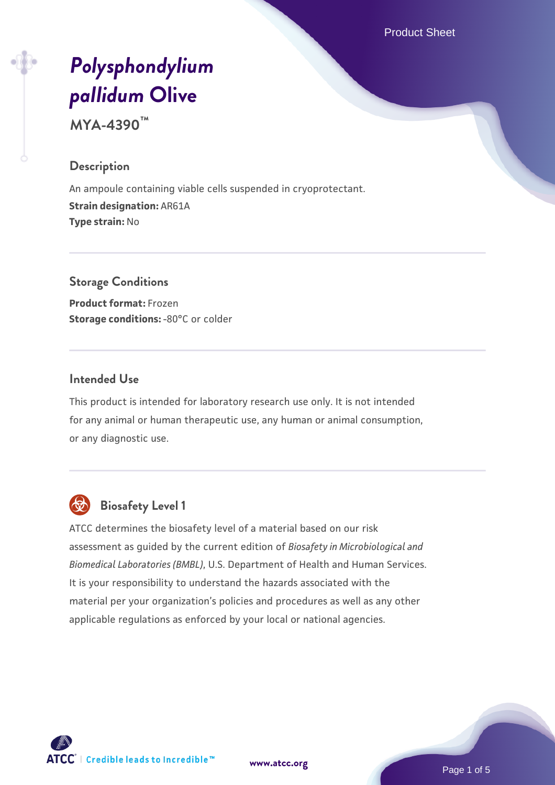Product Sheet

# *[Polysphondylium](https://www.atcc.org/products/mya-4390) [pallidum](https://www.atcc.org/products/mya-4390)* **[Olive](https://www.atcc.org/products/mya-4390)**

**MYA-4390™**

#### **Description**

An ampoule containing viable cells suspended in cryoprotectant. **Strain designation:** AR61A **Type strain:** No

**Storage Conditions Product format:** Frozen **Storage conditions: -80°C or colder** 

### **Intended Use**

This product is intended for laboratory research use only. It is not intended for any animal or human therapeutic use, any human or animal consumption, or any diagnostic use.



# **Biosafety Level 1**

ATCC determines the biosafety level of a material based on our risk assessment as guided by the current edition of *Biosafety in Microbiological and Biomedical Laboratories (BMBL)*, U.S. Department of Health and Human Services. It is your responsibility to understand the hazards associated with the material per your organization's policies and procedures as well as any other applicable regulations as enforced by your local or national agencies.



**[www.atcc.org](http://www.atcc.org)**

Page 1 of 5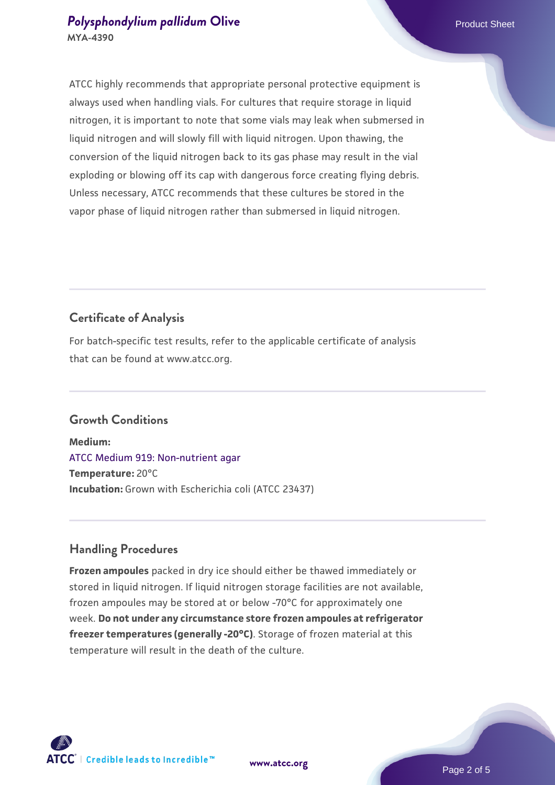ATCC highly recommends that appropriate personal protective equipment is always used when handling vials. For cultures that require storage in liquid nitrogen, it is important to note that some vials may leak when submersed in liquid nitrogen and will slowly fill with liquid nitrogen. Upon thawing, the conversion of the liquid nitrogen back to its gas phase may result in the vial exploding or blowing off its cap with dangerous force creating flying debris. Unless necessary, ATCC recommends that these cultures be stored in the vapor phase of liquid nitrogen rather than submersed in liquid nitrogen.

# **Certificate of Analysis**

For batch-specific test results, refer to the applicable certificate of analysis that can be found at www.atcc.org.

# **Growth Conditions**

**Medium:**  [ATCC Medium 919: Non-nutrient agar](https://www.atcc.org/-/media/product-assets/documents/microbial-media-formulations/9/1/9/atcc-medium-919.pdf?rev=f4e1e31d2b4249c2a4e4c31a4c703c9e) **Temperature:** 20°C **Incubation:** Grown with Escherichia coli (ATCC 23437)

# **Handling Procedures**

**Frozen ampoules** packed in dry ice should either be thawed immediately or stored in liquid nitrogen. If liquid nitrogen storage facilities are not available, frozen ampoules may be stored at or below -70°C for approximately one week. **Do not under any circumstance store frozen ampoules at refrigerator freezer temperatures (generally -20°C)**. Storage of frozen material at this temperature will result in the death of the culture.

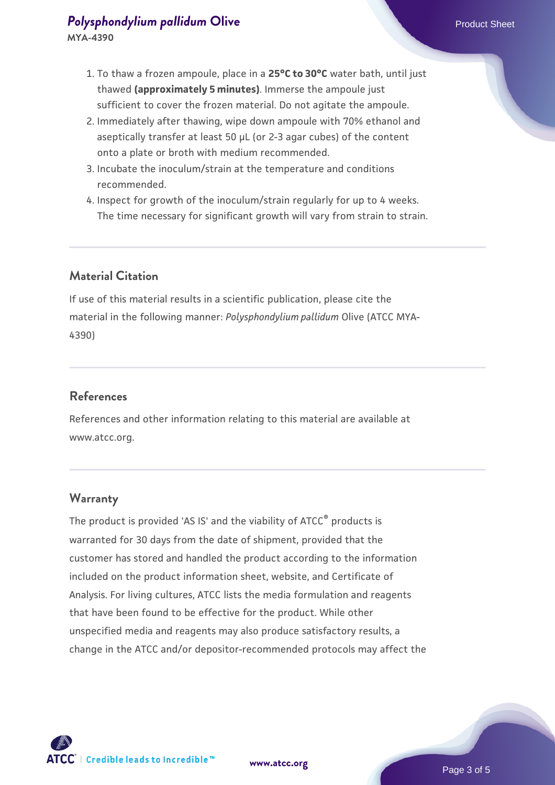- 2. Immediately after thawing, wipe down ampoule with 70% ethanol and aseptically transfer at least 50 µL (or 2-3 agar cubes) of the content onto a plate or broth with medium recommended.
- 3. Incubate the inoculum/strain at the temperature and conditions recommended.
- 4. Inspect for growth of the inoculum/strain regularly for up to 4 weeks. The time necessary for significant growth will vary from strain to strain.

# **Material Citation**

If use of this material results in a scientific publication, please cite the material in the following manner: *Polysphondylium pallidum* Olive (ATCC MYA-4390)

# **References**

References and other information relating to this material are available at www.atcc.org.

#### **Warranty**

The product is provided 'AS IS' and the viability of ATCC® products is warranted for 30 days from the date of shipment, provided that the customer has stored and handled the product according to the information included on the product information sheet, website, and Certificate of Analysis. For living cultures, ATCC lists the media formulation and reagents that have been found to be effective for the product. While other unspecified media and reagents may also produce satisfactory results, a change in the ATCC and/or depositor-recommended protocols may affect the

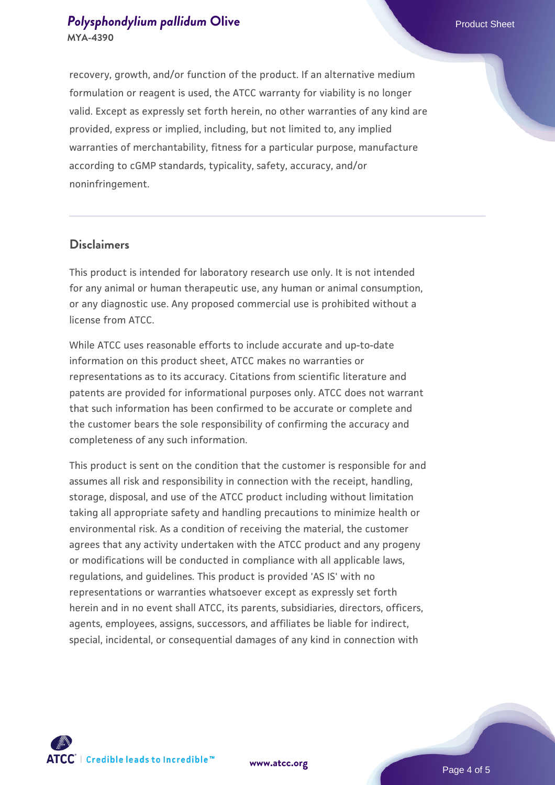recovery, growth, and/or function of the product. If an alternative medium formulation or reagent is used, the ATCC warranty for viability is no longer valid. Except as expressly set forth herein, no other warranties of any kind are provided, express or implied, including, but not limited to, any implied warranties of merchantability, fitness for a particular purpose, manufacture according to cGMP standards, typicality, safety, accuracy, and/or noninfringement.

#### **Disclaimers**

This product is intended for laboratory research use only. It is not intended for any animal or human therapeutic use, any human or animal consumption, or any diagnostic use. Any proposed commercial use is prohibited without a license from ATCC.

While ATCC uses reasonable efforts to include accurate and up-to-date information on this product sheet, ATCC makes no warranties or representations as to its accuracy. Citations from scientific literature and patents are provided for informational purposes only. ATCC does not warrant that such information has been confirmed to be accurate or complete and the customer bears the sole responsibility of confirming the accuracy and completeness of any such information.

This product is sent on the condition that the customer is responsible for and assumes all risk and responsibility in connection with the receipt, handling, storage, disposal, and use of the ATCC product including without limitation taking all appropriate safety and handling precautions to minimize health or environmental risk. As a condition of receiving the material, the customer agrees that any activity undertaken with the ATCC product and any progeny or modifications will be conducted in compliance with all applicable laws, regulations, and guidelines. This product is provided 'AS IS' with no representations or warranties whatsoever except as expressly set forth herein and in no event shall ATCC, its parents, subsidiaries, directors, officers, agents, employees, assigns, successors, and affiliates be liable for indirect, special, incidental, or consequential damages of any kind in connection with